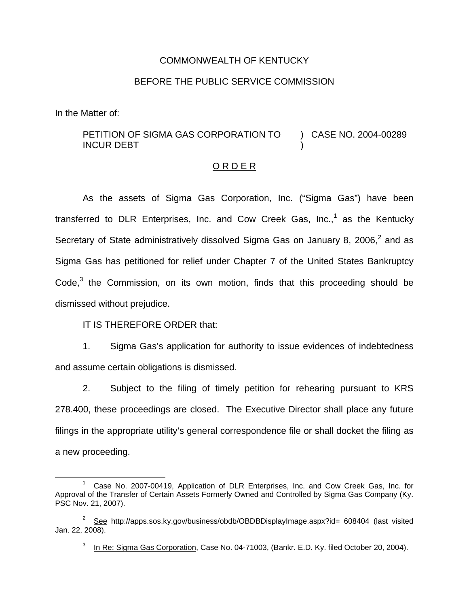## COMMONWEALTH OF KENTUCKY

## BEFORE THE PUBLIC SERVICE COMMISSION

In the Matter of:

## PETITION OF SIGMA GAS CORPORATION TO INCUR DEBT ) CASE NO. 2004-00289 )

## O R D E R

As the assets of Sigma Gas Corporation, Inc. ("Sigma Gas") have been transferred to DLR Enterprises, Inc. and Cow Creek Gas, Inc., $1$  as the Kentucky Secretary of State administratively dissolved Sigma Gas on January 8, 2006, $^2$  and as Sigma Gas has petitioned for relief under Chapter 7 of the United States Bankruptcy  $Code<sup>3</sup>$  the Commission, on its own motion, finds that this proceeding should be dismissed without prejudice.

IT IS THEREFORE ORDER that:

1. Sigma Gas's application for authority to issue evidences of indebtedness and assume certain obligations is dismissed.

2. Subject to the filing of timely petition for rehearing pursuant to KRS 278.400, these proceedings are closed. The Executive Director shall place any future filings in the appropriate utility's general correspondence file or shall docket the filing as a new proceeding.

<sup>1</sup> Case No. 2007-00419, Application of DLR Enterprises, Inc. and Cow Creek Gas, Inc. for Approval of the Transfer of Certain Assets Formerly Owned and Controlled by Sigma Gas Company (Ky. PSC Nov. 21, 2007).

 $2^{\circ}$  See http://apps.sos.ky.gov/business/obdb/OBDBDisplayImage.aspx?id= 608404 (last visited Jan. 22, 2008).

<sup>&</sup>lt;sup>3</sup> In Re: Sigma Gas Corporation, Case No. 04-71003, (Bankr. E.D. Ky. filed October 20, 2004).